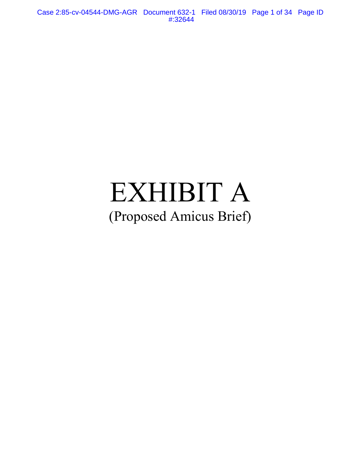Case 2:85-cv-04544-DMG-AGR Document 632-1 Filed 08/30/19 Page 1 of 34 Page ID #:32644

# EXHIBIT A (Proposed Amicus Brief)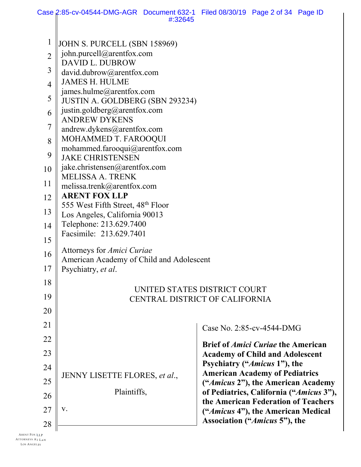|                | Case 2:85-cv-04544-DMG-AGR Document 632-1 Filed 08/30/19 Page 2 of 34 Page ID |                                |                                                                                |  |  |  |
|----------------|-------------------------------------------------------------------------------|--------------------------------|--------------------------------------------------------------------------------|--|--|--|
|                |                                                                               | #:32645                        |                                                                                |  |  |  |
| $\mathbf 1$    | JOHN S. PURCELL (SBN 158969)                                                  |                                |                                                                                |  |  |  |
| $\overline{2}$ | john.purcell@arentfox.com                                                     |                                |                                                                                |  |  |  |
| 3              | DAVID L. DUBROW<br>david.dubrow@arentfox.com                                  |                                |                                                                                |  |  |  |
| $\overline{4}$ | <b>JAMES H. HULME</b>                                                         |                                |                                                                                |  |  |  |
|                | james.hulme@arentfox.com                                                      |                                |                                                                                |  |  |  |
| 5              | JUSTIN A. GOLDBERG (SBN 293234)                                               |                                |                                                                                |  |  |  |
| 6              | justin.goldberg@arentfox.com<br><b>ANDREW DYKENS</b>                          |                                |                                                                                |  |  |  |
| 7              | andrew.dykens@arentfox.com                                                    |                                |                                                                                |  |  |  |
| 8              | MOHAMMED T. FAROOQUI                                                          |                                |                                                                                |  |  |  |
| 9              | mohammed.farooqui@arentfox.com<br><b>JAKE CHRISTENSEN</b>                     |                                |                                                                                |  |  |  |
| 10             | jake.christensen@arentfox.com                                                 |                                |                                                                                |  |  |  |
|                | MELISSA A. TRENK                                                              |                                |                                                                                |  |  |  |
| 11             | melissa.trenk@arentfox.com                                                    |                                |                                                                                |  |  |  |
| 12             | <b>ARENT FOX LLP</b><br>555 West Fifth Street, 48 <sup>th</sup> Floor         |                                |                                                                                |  |  |  |
| 13             | Los Angeles, California 90013                                                 |                                |                                                                                |  |  |  |
| 14             | Telephone: 213.629.7400                                                       |                                |                                                                                |  |  |  |
| 15             | Facsimile: 213.629.7401                                                       |                                |                                                                                |  |  |  |
| 16             | Attorneys for <i>Amici Curiae</i>                                             |                                |                                                                                |  |  |  |
| 17             | American Academy of Child and Adolescent<br>Psychiatry, et al.                |                                |                                                                                |  |  |  |
| 18             |                                                                               |                                |                                                                                |  |  |  |
|                |                                                                               | UNITED STATES DISTRICT COURT   |                                                                                |  |  |  |
| 19             |                                                                               | CENTRAL DISTRICT OF CALIFORNIA |                                                                                |  |  |  |
| 20             |                                                                               |                                |                                                                                |  |  |  |
| 21             |                                                                               |                                | Case No. 2:85-cv-4544-DMG                                                      |  |  |  |
| 22             |                                                                               |                                | <b>Brief of <i>Amici Curiae</i></b> the American                               |  |  |  |
| 23             |                                                                               |                                | <b>Academy of Child and Adolescent</b>                                         |  |  |  |
| 24             |                                                                               |                                | Psychiatry ("Amicus 1"), the<br><b>American Academy of Pediatrics</b>          |  |  |  |
| 25             | JENNY LISETTE FLORES, et al.,                                                 |                                | ("Amicus 2"), the American Academy                                             |  |  |  |
| 26             | Plaintiffs,                                                                   |                                | of Pediatrics, California ("Amicus 3"),<br>the American Federation of Teachers |  |  |  |
| 27             | V.                                                                            |                                | ("Amicus 4"), the American Medical                                             |  |  |  |
| 28             |                                                                               |                                | Association ("Amicus 5"), the                                                  |  |  |  |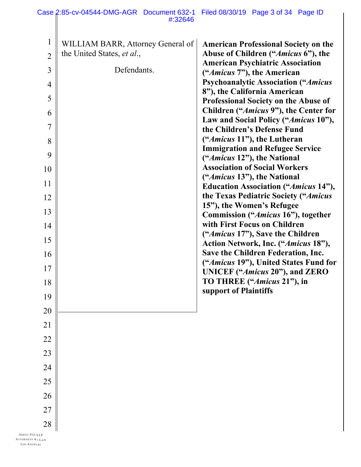| $\mathbf{1}$<br>WILLIAM BARR, Attorney General of<br><b>American Professional Society on the</b><br>the United States, et al.,<br>Abuse of Children ("Amicus 6"), the<br>$\overline{2}$<br><b>American Psychiatric Association</b><br>Defendants.<br>$\mathfrak{Z}$<br>(" <i>Amicus</i> 7"), the American<br><b>Psychoanalytic Association ("Amicus</b><br>$\overline{4}$<br>8"), the California American<br>5<br><b>Professional Society on the Abuse of</b><br>6<br>Law and Social Policy ("Amicus 10"),<br>$\overline{7}$<br>the Children's Defense Fund<br>(" <i>Amicus</i> 11"), the Lutheran<br>8<br><b>Immigration and Refugee Service</b><br>9<br>("Amicus 12"), the National<br><b>Association of Social Workers</b><br>10<br>(" <i>Amicus</i> 13"), the National<br>11<br><b>Education Association ("Amicus 14"),</b><br>the Texas Pediatric Society ("Amicus<br>12<br>15"), the Women's Refugee<br>13<br>Commission ("Amicus 16"), together | Case 2:85-cv-04544-DMG-AGR Document 632-1 Filed 08/30/19 Page 3 of 34 Page ID<br>#:32646 |                                       |
|--------------------------------------------------------------------------------------------------------------------------------------------------------------------------------------------------------------------------------------------------------------------------------------------------------------------------------------------------------------------------------------------------------------------------------------------------------------------------------------------------------------------------------------------------------------------------------------------------------------------------------------------------------------------------------------------------------------------------------------------------------------------------------------------------------------------------------------------------------------------------------------------------------------------------------------------------------|------------------------------------------------------------------------------------------|---------------------------------------|
|                                                                                                                                                                                                                                                                                                                                                                                                                                                                                                                                                                                                                                                                                                                                                                                                                                                                                                                                                        |                                                                                          |                                       |
|                                                                                                                                                                                                                                                                                                                                                                                                                                                                                                                                                                                                                                                                                                                                                                                                                                                                                                                                                        |                                                                                          |                                       |
|                                                                                                                                                                                                                                                                                                                                                                                                                                                                                                                                                                                                                                                                                                                                                                                                                                                                                                                                                        |                                                                                          |                                       |
|                                                                                                                                                                                                                                                                                                                                                                                                                                                                                                                                                                                                                                                                                                                                                                                                                                                                                                                                                        |                                                                                          |                                       |
|                                                                                                                                                                                                                                                                                                                                                                                                                                                                                                                                                                                                                                                                                                                                                                                                                                                                                                                                                        |                                                                                          |                                       |
|                                                                                                                                                                                                                                                                                                                                                                                                                                                                                                                                                                                                                                                                                                                                                                                                                                                                                                                                                        |                                                                                          |                                       |
|                                                                                                                                                                                                                                                                                                                                                                                                                                                                                                                                                                                                                                                                                                                                                                                                                                                                                                                                                        |                                                                                          | Children ("Amicus 9"), the Center for |
|                                                                                                                                                                                                                                                                                                                                                                                                                                                                                                                                                                                                                                                                                                                                                                                                                                                                                                                                                        |                                                                                          |                                       |
|                                                                                                                                                                                                                                                                                                                                                                                                                                                                                                                                                                                                                                                                                                                                                                                                                                                                                                                                                        |                                                                                          |                                       |
|                                                                                                                                                                                                                                                                                                                                                                                                                                                                                                                                                                                                                                                                                                                                                                                                                                                                                                                                                        |                                                                                          |                                       |
|                                                                                                                                                                                                                                                                                                                                                                                                                                                                                                                                                                                                                                                                                                                                                                                                                                                                                                                                                        |                                                                                          |                                       |
|                                                                                                                                                                                                                                                                                                                                                                                                                                                                                                                                                                                                                                                                                                                                                                                                                                                                                                                                                        |                                                                                          |                                       |
|                                                                                                                                                                                                                                                                                                                                                                                                                                                                                                                                                                                                                                                                                                                                                                                                                                                                                                                                                        |                                                                                          |                                       |
|                                                                                                                                                                                                                                                                                                                                                                                                                                                                                                                                                                                                                                                                                                                                                                                                                                                                                                                                                        |                                                                                          |                                       |
| with First Focus on Children<br>14                                                                                                                                                                                                                                                                                                                                                                                                                                                                                                                                                                                                                                                                                                                                                                                                                                                                                                                     |                                                                                          |                                       |
| ("Amicus 17"), Save the Children<br>15<br>Action Network, Inc. ("Amicus 18"),                                                                                                                                                                                                                                                                                                                                                                                                                                                                                                                                                                                                                                                                                                                                                                                                                                                                          |                                                                                          |                                       |
| Save the Children Federation, Inc.<br>16                                                                                                                                                                                                                                                                                                                                                                                                                                                                                                                                                                                                                                                                                                                                                                                                                                                                                                               |                                                                                          |                                       |
| 17<br><b>UNICEF</b> ("Amicus 20"), and <b>ZERO</b>                                                                                                                                                                                                                                                                                                                                                                                                                                                                                                                                                                                                                                                                                                                                                                                                                                                                                                     |                                                                                          | ("Amicus 19"), United States Fund for |
| TO THREE ("Amicus 21"), in<br>18                                                                                                                                                                                                                                                                                                                                                                                                                                                                                                                                                                                                                                                                                                                                                                                                                                                                                                                       |                                                                                          |                                       |
| support of Plaintiffs<br>19                                                                                                                                                                                                                                                                                                                                                                                                                                                                                                                                                                                                                                                                                                                                                                                                                                                                                                                            |                                                                                          |                                       |
| 20                                                                                                                                                                                                                                                                                                                                                                                                                                                                                                                                                                                                                                                                                                                                                                                                                                                                                                                                                     |                                                                                          |                                       |
| 21                                                                                                                                                                                                                                                                                                                                                                                                                                                                                                                                                                                                                                                                                                                                                                                                                                                                                                                                                     |                                                                                          |                                       |
| $22\,$                                                                                                                                                                                                                                                                                                                                                                                                                                                                                                                                                                                                                                                                                                                                                                                                                                                                                                                                                 |                                                                                          |                                       |
| 23                                                                                                                                                                                                                                                                                                                                                                                                                                                                                                                                                                                                                                                                                                                                                                                                                                                                                                                                                     |                                                                                          |                                       |
| 24                                                                                                                                                                                                                                                                                                                                                                                                                                                                                                                                                                                                                                                                                                                                                                                                                                                                                                                                                     |                                                                                          |                                       |
| 25                                                                                                                                                                                                                                                                                                                                                                                                                                                                                                                                                                                                                                                                                                                                                                                                                                                                                                                                                     |                                                                                          |                                       |
| 26                                                                                                                                                                                                                                                                                                                                                                                                                                                                                                                                                                                                                                                                                                                                                                                                                                                                                                                                                     |                                                                                          |                                       |
| 27                                                                                                                                                                                                                                                                                                                                                                                                                                                                                                                                                                                                                                                                                                                                                                                                                                                                                                                                                     |                                                                                          |                                       |
| $28\,$                                                                                                                                                                                                                                                                                                                                                                                                                                                                                                                                                                                                                                                                                                                                                                                                                                                                                                                                                 |                                                                                          |                                       |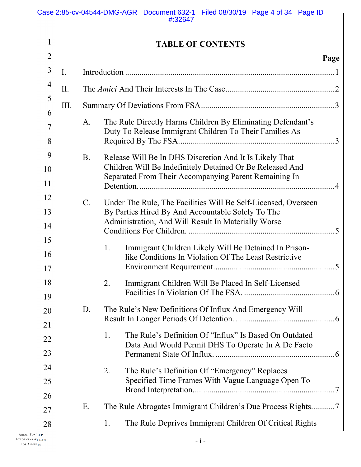|                 |                                                       |                                                           | Case 2:85-cv-04544-DMG-AGR Document 632-1 Filed 08/30/19 Page 4 of 34 Page ID<br>#:32647                           |  |  |  |  |  |
|-----------------|-------------------------------------------------------|-----------------------------------------------------------|--------------------------------------------------------------------------------------------------------------------|--|--|--|--|--|
| $\mathbf{1}$    | <b>TABLE OF CONTENTS</b>                              |                                                           |                                                                                                                    |  |  |  |  |  |
| $\overline{2}$  |                                                       |                                                           | Page                                                                                                               |  |  |  |  |  |
| $\overline{3}$  | I.                                                    |                                                           |                                                                                                                    |  |  |  |  |  |
| $\overline{4}$  |                                                       |                                                           |                                                                                                                    |  |  |  |  |  |
| 5               | II.                                                   |                                                           |                                                                                                                    |  |  |  |  |  |
| 6               | III.                                                  |                                                           |                                                                                                                    |  |  |  |  |  |
| $\overline{7}$  |                                                       | A.                                                        | The Rule Directly Harms Children By Eliminating Defendant's                                                        |  |  |  |  |  |
| 8               |                                                       | Duty To Release Immigrant Children To Their Families As   |                                                                                                                    |  |  |  |  |  |
| 9               |                                                       | <b>B.</b>                                                 | Release Will Be In DHS Discretion And It Is Likely That                                                            |  |  |  |  |  |
| 10              |                                                       | Children Will Be Indefinitely Detained Or Be Released And |                                                                                                                    |  |  |  |  |  |
| 11              | Separated From Their Accompanying Parent Remaining In |                                                           |                                                                                                                    |  |  |  |  |  |
| 12              |                                                       | $\mathcal{C}$ .                                           | Under The Rule, The Facilities Will Be Self-Licensed, Overseen                                                     |  |  |  |  |  |
| 13              |                                                       |                                                           | By Parties Hired By And Accountable Solely To The                                                                  |  |  |  |  |  |
| 14              | Administration, And Will Result In Materially Worse   |                                                           |                                                                                                                    |  |  |  |  |  |
| 15              |                                                       |                                                           | Immigrant Children Likely Will Be Detained In Prison-<br>1.                                                        |  |  |  |  |  |
| 16              |                                                       |                                                           | like Conditions In Violation Of The Least Restrictive                                                              |  |  |  |  |  |
| 17              |                                                       |                                                           |                                                                                                                    |  |  |  |  |  |
| 18              |                                                       |                                                           | 2.<br>Immigrant Children Will Be Placed In Self-Licensed                                                           |  |  |  |  |  |
| 19              |                                                       |                                                           |                                                                                                                    |  |  |  |  |  |
| 20              |                                                       | D.                                                        | The Rule's New Definitions Of Influx And Emergency Will                                                            |  |  |  |  |  |
| 21              |                                                       |                                                           |                                                                                                                    |  |  |  |  |  |
| 22              |                                                       |                                                           | The Rule's Definition Of "Influx" Is Based On Outdated<br>1.<br>Data And Would Permit DHS To Operate In A De Facto |  |  |  |  |  |
| 23              |                                                       |                                                           |                                                                                                                    |  |  |  |  |  |
| 24              |                                                       |                                                           | The Rule's Definition Of "Emergency" Replaces<br>2.                                                                |  |  |  |  |  |
| 25              |                                                       |                                                           | Specified Time Frames With Vague Language Open To                                                                  |  |  |  |  |  |
| 26              |                                                       |                                                           |                                                                                                                    |  |  |  |  |  |
| 27              |                                                       | Ε.                                                        |                                                                                                                    |  |  |  |  |  |
| $28\,$<br>< LLP |                                                       |                                                           | The Rule Deprives Immigrant Children Of Critical Rights<br>1.                                                      |  |  |  |  |  |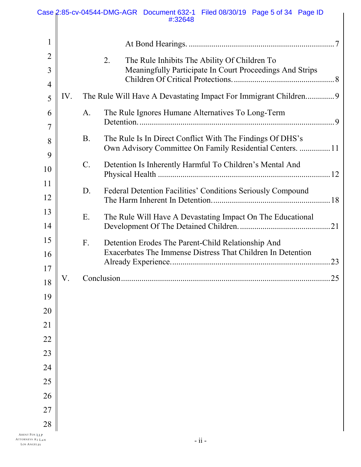|                            |     | Case 2:85-cv-04544-DMG-AGR Document 632-1 Filed 08/30/19 Page 5 of 34 Page ID<br>#:32648                                            |
|----------------------------|-----|-------------------------------------------------------------------------------------------------------------------------------------|
| 1                          |     |                                                                                                                                     |
| $\overline{2}$<br>3        |     | 2.<br>The Rule Inhibits The Ability Of Children To<br>Meaningfully Participate In Court Proceedings And Strips                      |
| $\overline{4}$<br>5        | IV. | The Rule Will Have A Devastating Impact For Immigrant Children9                                                                     |
| 6<br>$\overline{7}$        |     | The Rule Ignores Humane Alternatives To Long-Term<br>A.                                                                             |
| 8                          |     | The Rule Is In Direct Conflict With The Findings Of DHS's<br><b>B.</b><br>Own Advisory Committee On Family Residential Centers.  11 |
| 9<br>10                    |     | Detention Is Inherently Harmful To Children's Mental And<br>$\mathcal{C}$ .                                                         |
| 11<br>12                   |     | Federal Detention Facilities' Conditions Seriously Compound<br>D.                                                                   |
| 13<br>14                   |     | E.<br>The Rule Will Have A Devastating Impact On The Educational                                                                    |
| 15<br>16                   |     | F.<br>Detention Erodes The Parent-Child Relationship And<br>Exacerbates The Immense Distress That Children In Detention<br>.23      |
| 17<br>18                   | V.  | 25<br>Conclusion.                                                                                                                   |
| 19                         |     |                                                                                                                                     |
| 20                         |     |                                                                                                                                     |
| 21<br>22                   |     |                                                                                                                                     |
| 23                         |     |                                                                                                                                     |
| 24                         |     |                                                                                                                                     |
| 25                         |     |                                                                                                                                     |
| 26                         |     |                                                                                                                                     |
| 27                         |     |                                                                                                                                     |
| 28<br><b>ARENT FOX LLP</b> |     |                                                                                                                                     |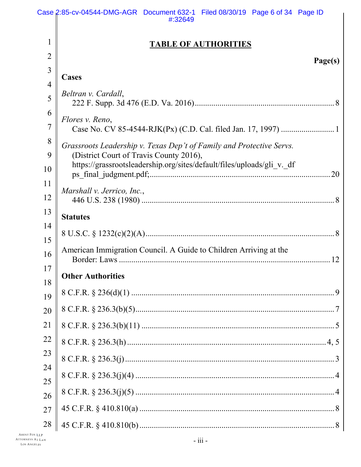|                | Case 2:85-cv-04544-DMG-AGR Document 632-1 Filed 08/30/19 Page 6 of 34 Page ID<br>#:32649                          |
|----------------|-------------------------------------------------------------------------------------------------------------------|
| 1              | <b>TABLE OF AUTHORITIES</b>                                                                                       |
| $\overline{2}$ |                                                                                                                   |
| $\overline{3}$ | Page(s)                                                                                                           |
| $\overline{4}$ | <b>Cases</b>                                                                                                      |
| 5              | Beltran v. Cardall,                                                                                               |
| 6              | Flores v. Reno,                                                                                                   |
| $\overline{7}$ |                                                                                                                   |
| 8              | Grassroots Leadership v. Texas Dep't of Family and Protective Servs.                                              |
| 9              | (District Court of Travis County 2016),<br>https://grassrootsleadership.org/sites/default/files/uploads/gli_v._df |
| 10             |                                                                                                                   |
| 11             | Marshall v. Jerrico, Inc.,                                                                                        |
| 12             |                                                                                                                   |
| 13             | <b>Statutes</b>                                                                                                   |
| 14<br>15       |                                                                                                                   |
| 16             | American Immigration Council. A Guide to Children Arriving at the                                                 |
| 17<br>18       | <b>Other Authorities</b>                                                                                          |
| 19             |                                                                                                                   |
| 20             |                                                                                                                   |
| 21             |                                                                                                                   |
| 22             |                                                                                                                   |
| 23             |                                                                                                                   |
| 24             |                                                                                                                   |
| 25             |                                                                                                                   |
| 26             |                                                                                                                   |
| 27             |                                                                                                                   |
| 28             |                                                                                                                   |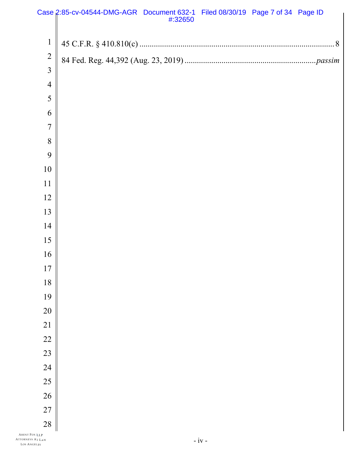|                | Case 2:85-cv-04544-DMG-AGR Document 632-1 Filed 08/30/19 Page 7 of 34 Page ID<br>#:32650 |  |  |
|----------------|------------------------------------------------------------------------------------------|--|--|
|                |                                                                                          |  |  |
| $\mathbf{1}$   |                                                                                          |  |  |
| $\overline{c}$ |                                                                                          |  |  |
| $\overline{3}$ |                                                                                          |  |  |
| $\overline{4}$ |                                                                                          |  |  |
| 5              |                                                                                          |  |  |
| 6              |                                                                                          |  |  |
| $\overline{7}$ |                                                                                          |  |  |
| 8              |                                                                                          |  |  |
| 9              |                                                                                          |  |  |
| 10             |                                                                                          |  |  |
| 11             |                                                                                          |  |  |
| 12             |                                                                                          |  |  |
| 13             |                                                                                          |  |  |
| 14             |                                                                                          |  |  |
| 15             |                                                                                          |  |  |
| 16             |                                                                                          |  |  |
| 17             |                                                                                          |  |  |
| $18\,$         |                                                                                          |  |  |
| 19             |                                                                                          |  |  |
| 20             |                                                                                          |  |  |
| 21             |                                                                                          |  |  |
| 22             |                                                                                          |  |  |
| 23             |                                                                                          |  |  |
| 24             |                                                                                          |  |  |
| 25             |                                                                                          |  |  |
| 26             |                                                                                          |  |  |
| 27             |                                                                                          |  |  |
| 28             |                                                                                          |  |  |
| ‹ LLP          |                                                                                          |  |  |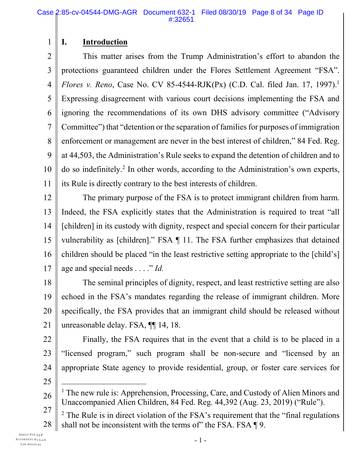### **I. Introduction**

1

2 3 4 5 6 7 8 9 10 11 This matter arises from the Trump Administration's effort to abandon the protections guaranteed children under the Flores Settlement Agreement "FSA". *Flores v. Reno*, Case No. CV 85-4544-RJK(Px) (C.D. Cal. filed Jan. 17, 1997).<sup>1</sup> Expressing disagreement with various court decisions implementing the FSA and ignoring the recommendations of its own DHS advisory committee ("Advisory Committee") that "detention or the separation of families for purposes of immigration enforcement or management are never in the best interest of children," 84 Fed. Reg. at 44,503, the Administration's Rule seeks to expand the detention of children and to do so indefinitely.<sup>2</sup> In other words, according to the Administration's own experts, its Rule is directly contrary to the best interests of children.

12 13 14 15 16 17 The primary purpose of the FSA is to protect immigrant children from harm. Indeed, the FSA explicitly states that the Administration is required to treat "all [children] in its custody with dignity, respect and special concern for their particular vulnerability as [children]." FSA ¶ 11. The FSA further emphasizes that detained children should be placed "in the least restrictive setting appropriate to the [child's] age and special needs . . . ." *Id.*

18 19 20 21 The seminal principles of dignity, respect, and least restrictive setting are also echoed in the FSA's mandates regarding the release of immigrant children. More specifically, the FSA provides that an immigrant child should be released without unreasonable delay. FSA, ¶¶ 14, 18.

22 23 24 Finally, the FSA requires that in the event that a child is to be placed in a "licensed program," such program shall be non-secure and "licensed by an appropriate State agency to provide residential, group, or foster care services for

25

 $\overline{a}$ 

- 26 <sup>1</sup> The new rule is: Apprehension, Processing, Care, and Custody of Alien Minors and Unaccompanied Alien Children, 84 Fed. Reg. 44,392 (Aug. 23, 2019) ("Rule").
- 27 28  $2$  The Rule is in direct violation of the FSA's requirement that the "final regulations" shall not be inconsistent with the terms of the FSA. FSA ¶ 9.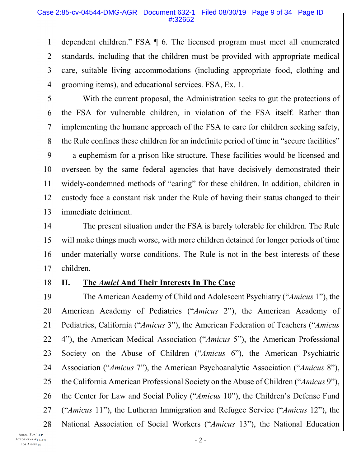#### Case 2:85-cv-04544-DMG-AGR Document 632-1 Filed 08/30/19 Page 9 of 34 Page ID #:32652

1 2 3 4 dependent children." FSA ¶ 6. The licensed program must meet all enumerated standards, including that the children must be provided with appropriate medical care, suitable living accommodations (including appropriate food, clothing and grooming items), and educational services. FSA, Ex. 1.

5

6 7 8 9 10 11 12 13 With the current proposal, the Administration seeks to gut the protections of the FSA for vulnerable children, in violation of the FSA itself. Rather than implementing the humane approach of the FSA to care for children seeking safety, the Rule confines these children for an indefinite period of time in "secure facilities" — a euphemism for a prison-like structure. These facilities would be licensed and overseen by the same federal agencies that have decisively demonstrated their widely-condemned methods of "caring" for these children. In addition, children in custody face a constant risk under the Rule of having their status changed to their immediate detriment.

14 15 16 17 The present situation under the FSA is barely tolerable for children. The Rule will make things much worse, with more children detained for longer periods of time under materially worse conditions. The Rule is not in the best interests of these children.

18

### **II. The** *Amici* **And Their Interests In The Case**

19 20 21 22 23 24 25 26 27 28 The American Academy of Child and Adolescent Psychiatry ("*Amicus* 1"), the American Academy of Pediatrics ("*Amicus* 2"), the American Academy of Pediatrics, California ("*Amicus* 3"), the American Federation of Teachers ("*Amicus* 4"), the American Medical Association ("*Amicus* 5"), the American Professional Society on the Abuse of Children ("*Amicus* 6"), the American Psychiatric Association ("*Amicus* 7"), the American Psychoanalytic Association ("*Amicus* 8"), the California American Professional Society on the Abuse of Children ("*Amicus* 9"), the Center for Law and Social Policy ("*Amicus* 10"), the Children's Defense Fund ("*Amicus* 11"), the Lutheran Immigration and Refugee Service ("*Amicus* 12"), the National Association of Social Workers ("*Amicus* 13"), the National Education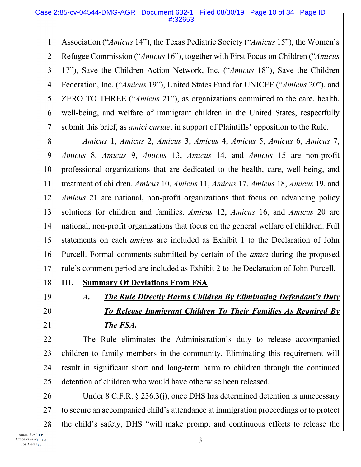1 2 3 4 5 6 7 Association ("*Amicus* 14"), the Texas Pediatric Society ("*Amicus* 15"), the Women's Refugee Commission ("*Amicus* 16"), together with First Focus on Children ("*Amicus* 17"), Save the Children Action Network, Inc. ("*Amicus* 18"), Save the Children Federation, Inc. ("*Amicus* 19"), United States Fund for UNICEF ("*Amicus* 20"), and ZERO TO THREE ("*Amicus* 21"), as organizations committed to the care, health, well-being, and welfare of immigrant children in the United States, respectfully submit this brief, as *amici curiae*, in support of Plaintiffs' opposition to the Rule.

8 9 10 11 12 13 14 15 16 17 *Amicus* 1, *Amicus* 2, *Amicus* 3, *Amicus* 4, *Amicus* 5, *Amicus* 6, *Amicus* 7, *Amicus* 8, *Amicus* 9, *Amicus* 13, *Amicus* 14, and *Amicus* 15 are non-profit professional organizations that are dedicated to the health, care, well-being, and treatment of children. *Amicus* 10, *Amicus* 11, *Amicus* 17, *Amicus* 18, *Amicus* 19, and *Amicus* 21 are national, non-profit organizations that focus on advancing policy solutions for children and families. *Amicus* 12, *Amicus* 16, and *Amicus* 20 are national, non-profit organizations that focus on the general welfare of children. Full statements on each *amicus* are included as Exhibit 1 to the Declaration of John Purcell. Formal comments submitted by certain of the *amici* during the proposed rule's comment period are included as Exhibit 2 to the Declaration of John Purcell.

**III. Summary Of Deviations From FSA**

- 18
- 19
- 20

21

*A. The Rule Directly Harms Children By Eliminating Defendant's Duty To Release Immigrant Children To Their Families As Required By The FSA.*

22 23 24 25 The Rule eliminates the Administration's duty to release accompanied children to family members in the community. Eliminating this requirement will result in significant short and long-term harm to children through the continued detention of children who would have otherwise been released.

26 27 28 Under 8 C.F.R. § 236.3(j), once DHS has determined detention is unnecessary to secure an accompanied child's attendance at immigration proceedings or to protect the child's safety, DHS "will make prompt and continuous efforts to release the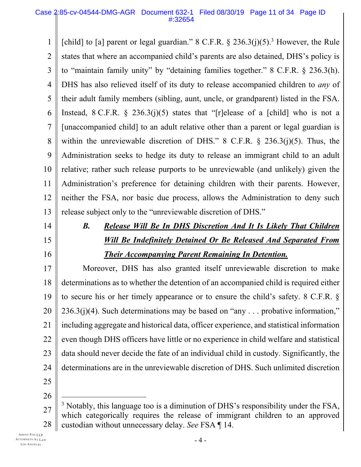1 2 3 4 5 6 7 8 9 10 11 12 13 [child] to [a] parent or legal guardian."  $8$  C.F.R.  $\frac{6}{3}$  236.3(j)(5).<sup>3</sup> However, the Rule states that where an accompanied child's parents are also detained, DHS's policy is to "maintain family unity" by "detaining families together." 8 C.F.R. § 236.3(h). DHS has also relieved itself of its duty to release accompanied children to *any* of their adult family members (sibling, aunt, uncle, or grandparent) listed in the FSA. Instead,  $8 \text{ C.F.R. } \frac{236.3(j)(5)}{25}$  states that "[r]elease of a [child] who is not a [unaccompanied child] to an adult relative other than a parent or legal guardian is within the unreviewable discretion of DHS." 8 C.F.R.  $\S$  236.3(j)(5). Thus, the Administration seeks to hedge its duty to release an immigrant child to an adult relative; rather such release purports to be unreviewable (and unlikely) given the Administration's preference for detaining children with their parents. However, neither the FSA, nor basic due process, allows the Administration to deny such release subject only to the "unreviewable discretion of DHS."

- 14
- 15
- 16

# *B. Release Will Be In DHS Discretion And It Is Likely That Children Will Be Indefinitely Detained Or Be Released And Separated From Their Accompanying Parent Remaining In Detention.*

17 18 19 20 21 22 23 24 25 Moreover, DHS has also granted itself unreviewable discretion to make determinations as to whether the detention of an accompanied child is required either to secure his or her timely appearance or to ensure the child's safety. 8 C.F.R. §  $236.3(j)(4)$ . Such determinations may be based on "any ... probative information," including aggregate and historical data, officer experience, and statistical information even though DHS officers have little or no experience in child welfare and statistical data should never decide the fate of an individual child in custody. Significantly, the determinations are in the unreviewable discretion of DHS. Such unlimited discretion

26

 $\overline{a}$ 

<sup>27</sup> 28 <sup>3</sup> Notably, this language too is a diminution of DHS's responsibility under the FSA, which categorically requires the release of immigrant children to an approved custodian without unnecessary delay. *See* FSA ¶ 14.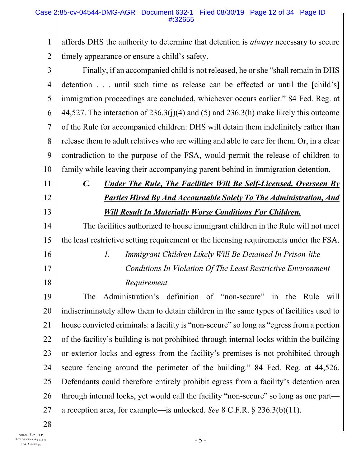1 2 affords DHS the authority to determine that detention is *always* necessary to secure timely appearance or ensure a child's safety.

| 3              | Finally, if an accompanied child is not released, he or she "shall remain in DHS            |
|----------------|---------------------------------------------------------------------------------------------|
| $\overline{4}$ | detention until such time as release can be effected or until the [child's]                 |
| 5              | immigration proceedings are concluded, whichever occurs earlier." 84 Fed. Reg. at           |
| 6              | 44,527. The interaction of $236.3(j)(4)$ and $(5)$ and $236.3(h)$ make likely this outcome  |
| $\overline{7}$ | of the Rule for accompanied children: DHS will detain them indefinitely rather than         |
| 8              | release them to adult relatives who are willing and able to care for them. Or, in a clear   |
| 9              | contradiction to the purpose of the FSA, would permit the release of children to            |
| 10             | family while leaving their accompanying parent behind in immigration detention.             |
| 11             | $\mathcal{C}$ .<br><b>Under The Rule, The Facilities Will Be Self-Licensed, Overseen By</b> |
| 12             | <b>Parties Hired By And Accountable Solely To The Administration, And</b>                   |
| 13             | <b>Will Result In Materially Worse Conditions For Children.</b>                             |
| 14             | The facilities authorized to house immigrant children in the Rule will not meet             |
| 15             | the least restrictive setting requirement or the licensing requirements under the FSA.      |
| 16             | $\mathcal{I}$ .<br>Immigrant Children Likely Will Be Detained In Prison-like                |
| 17             | Conditions In Violation Of The Least Restrictive Environment                                |
| 18             | Requirement.                                                                                |
| 19             | Administration's definition of "non-secure" in the Rule<br>The<br>will                      |
| 20             | indiscriminately allow them to detain children in the same types of facilities used to      |
| 21             | house convicted criminals: a facility is "non-secure" so long as "egress from a portion     |
| 22             | of the facility's building is not prohibited through internal locks within the building     |
| 23             | or exterior locks and egress from the facility's premises is not prohibited through         |
| 24             | secure fencing around the perimeter of the building." 84 Fed. Reg. at 44,526.               |
| 25             | Defendants could therefore entirely prohibit egress from a facility's detention area        |
| 26             | through internal locks, yet would call the facility "non-secure" so long as one part—       |
| 27             | a reception area, for example—is unlocked. See $8$ C.F.R. $\S$ 236.3(b)(11).                |

28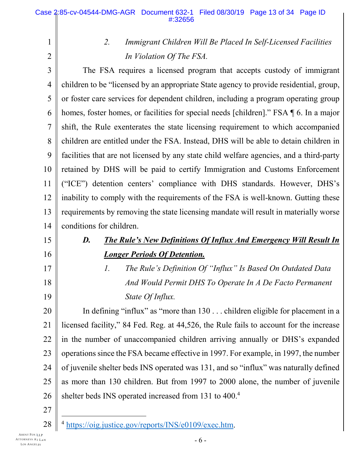#### 1 2 3 4 5 6 7 8 9 10 11 12 13 14 15 16 17 18 19 20 21 22 23 24 25 *2. Immigrant Children Will Be Placed In Self-Licensed Facilities In Violation Of The FSA.* The FSA requires a licensed program that accepts custody of immigrant children to be "licensed by an appropriate State agency to provide residential, group, or foster care services for dependent children, including a program operating group homes, foster homes, or facilities for special needs [children]." FSA  $\P$  6. In a major shift, the Rule exenterates the state licensing requirement to which accompanied children are entitled under the FSA. Instead, DHS will be able to detain children in facilities that are not licensed by any state child welfare agencies, and a third-party retained by DHS will be paid to certify Immigration and Customs Enforcement ("ICE") detention centers' compliance with DHS standards. However, DHS's inability to comply with the requirements of the FSA is well-known. Gutting these requirements by removing the state licensing mandate will result in materially worse conditions for children. *D. The Rule's New Definitions Of Influx And Emergency Will Result In Longer Periods Of Detention. 1. The Rule's Definition Of "Influx" Is Based On Outdated Data And Would Permit DHS To Operate In A De Facto Permanent State Of Influx.* In defining "influx" as "more than 130 . . . children eligible for placement in a licensed facility," 84 Fed. Reg. at 44,526, the Rule fails to account for the increase in the number of unaccompanied children arriving annually or DHS's expanded operationssince the FSA became effective in 1997. For example, in 1997, the number of juvenile shelter beds INS operated was 131, and so "influx" was naturally defined as more than 130 children. But from 1997 to 2000 alone, the number of juvenile

- 26 shelter beds INS operated increased from 131 to 400.<sup>4</sup>
- 27

 $\overline{a}$ 

<sup>28</sup> <sup>4</sup> https://oig.justice.gov/reports/INS/e0109/exec.htm.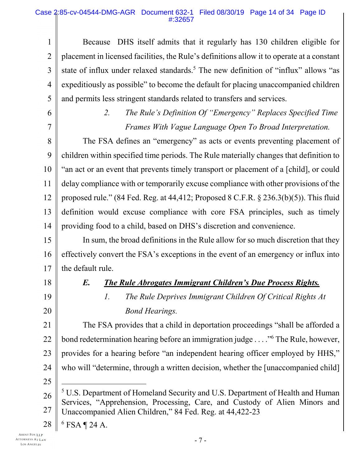### Case 2:85-cv-04544-DMG-AGR Document 632-1 Filed 08/30/19 Page 14 of 34 Page ID #:32657

1 2 3 4 5 Because DHS itself admits that it regularly has 130 children eligible for placement in licensed facilities, the Rule's definitions allow it to operate at a constant state of influx under relaxed standards.<sup>5</sup> The new definition of "influx" allows "as expeditiously as possible" to become the default for placing unaccompanied children and permits less stringent standards related to transfers and services.

6

7

*2. The Rule's Definition Of "Emergency" Replaces Specified Time Frames With Vague Language Open To Broad Interpretation.*

8 9 10 11 12 13 14 The FSA defines an "emergency" as acts or events preventing placement of children within specified time periods. The Rule materially changes that definition to "an act or an event that prevents timely transport or placement of a [child], or could delay compliance with or temporarily excuse compliance with other provisions of the proposed rule." (84 Fed. Reg. at 44,412; Proposed 8 C.F.R. § 236.3(b)(5)). This fluid definition would excuse compliance with core FSA principles, such as timely providing food to a child, based on DHS's discretion and convenience.

15 16 17 In sum, the broad definitions in the Rule allow for so much discretion that they effectively convert the FSA's exceptions in the event of an emergency or influx into the default rule.

18

19

20

## *E. The Rule Abrogates Immigrant Children's Due Process Rights.*

*1. The Rule Deprives Immigrant Children Of Critical Rights At Bond Hearings.*

21 22 23 24 25 The FSA provides that a child in deportation proceedings "shall be afforded a bond redetermination hearing before an immigration judge . . . ."<sup>6</sup> The Rule, however, provides for a hearing before "an independent hearing officer employed by HHS," who will "determine, through a written decision, whether the [unaccompanied child]  $\overline{a}$ 

26 27 <sup>5</sup> U.S. Department of Homeland Security and U.S. Department of Health and Human Services, "Apprehension, Processing, Care, and Custody of Alien Minors and Unaccompanied Alien Children," 84 Fed. Reg. at 44,422-23

28 <sup>6</sup> FSA ¶ 24 A.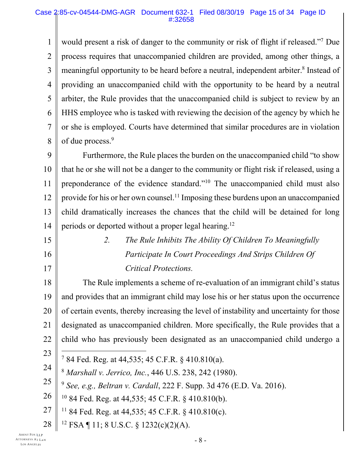#### Case 2:85-cv-04544-DMG-AGR Document 632-1 Filed 08/30/19 Page 15 of 34 Page ID #:32658

1 2 3 4 5 6 7 8 would present a risk of danger to the community or risk of flight if released."<sup>7</sup> Due process requires that unaccompanied children are provided, among other things, a meaningful opportunity to be heard before a neutral, independent arbiter.<sup>8</sup> Instead of providing an unaccompanied child with the opportunity to be heard by a neutral arbiter, the Rule provides that the unaccompanied child is subject to review by an HHS employee who is tasked with reviewing the decision of the agency by which he or she is employed. Courts have determined that similar procedures are in violation of due process.<sup>9</sup>

9 10 11 12 13 14 Furthermore, the Rule places the burden on the unaccompanied child "to show that he or she will not be a danger to the community or flight risk if released, using a preponderance of the evidence standard."<sup>10</sup> The unaccompanied child must also provide for his or her own counsel.<sup>11</sup> Imposing these burdens upon an unaccompanied child dramatically increases the chances that the child will be detained for long periods or deported without a proper legal hearing.<sup>12</sup>

15 16 17 *2. The Rule Inhibits The Ability Of Children To Meaningfully Participate In Court Proceedings And Strips Children Of Critical Protections.*

18 19 20 21 22 The Rule implements a scheme of re-evaluation of an immigrant child's status and provides that an immigrant child may lose his or her status upon the occurrence of certain events, thereby increasing the level of instability and uncertainty for those designated as unaccompanied children. More specifically, the Rule provides that a child who has previously been designated as an unaccompanied child undergo a

23

l

- <sup>7</sup> 84 Fed. Reg. at 44,535; 45 C.F.R. § 410.810(a).
- 24 <sup>8</sup> *Marshall v. Jerrico, Inc.*, 446 U.S. 238, 242 (1980).
- 25 <sup>9</sup> *See, e.g., Beltran v. Cardall*, 222 F. Supp. 3d 476 (E.D. Va. 2016).
- 26 <sup>10</sup> 84 Fed. Reg. at 44,535; 45 C.F.R. § 410.810(b).
- 27  $11$  84 Fed. Reg. at 44,535; 45 C.F.R. § 410.810(c).
- 28 <sup>12</sup> FSA ¶ 11; 8 U.S.C. § 1232(c)(2)(A).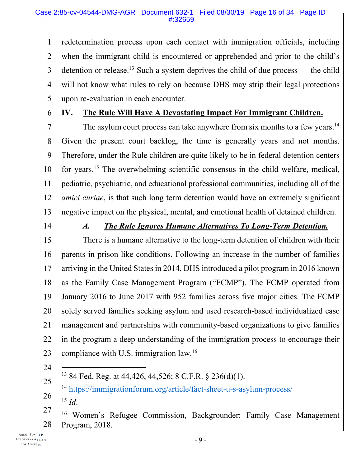1 2 3 4 5 redetermination process upon each contact with immigration officials, including when the immigrant child is encountered or apprehended and prior to the child's detention or release.<sup>13</sup> Such a system deprives the child of due process — the child will not know what rules to rely on because DHS may strip their legal protections upon re-evaluation in each encounter.

6

### **IV. The Rule Will Have A Devastating Impact For Immigrant Children.**

7 8 9 10 11 12 13 The asylum court process can take anywhere from six months to a few years.<sup>14</sup> Given the present court backlog, the time is generally years and not months. Therefore, under the Rule children are quite likely to be in federal detention centers for years.<sup>15</sup> The overwhelming scientific consensus in the child welfare, medical, pediatric, psychiatric, and educational professional communities, including all of the *amici curiae*, is that such long term detention would have an extremely significant negative impact on the physical, mental, and emotional health of detained children.

14

### *A. The Rule Ignores Humane Alternatives To Long-Term Detention.*

15 16 17 18 19 20 21 22 23 There is a humane alternative to the long-term detention of children with their parents in prison-like conditions. Following an increase in the number of families arriving in the United States in 2014, DHS introduced a pilot program in 2016 known as the Family Case Management Program ("FCMP"). The FCMP operated from January 2016 to June 2017 with 952 families across five major cities. The FCMP solely served families seeking asylum and used research-based individualized case management and partnerships with community-based organizations to give families in the program a deep understanding of the immigration process to encourage their compliance with U.S. immigration law.<sup>16</sup>

24

l

- 25
- <sup>13</sup> 84 Fed. Reg. at 44,426, 44,526; 8 C.F.R. § 236(d)(1).
- 26 <sup>14</sup> https://immigrationforum.org/article/fact-sheet-u-s-asylum-process/ <sup>15</sup> *Id*.
- 27 28 <sup>16</sup> Women's Refugee Commission, Backgrounder: Family Case Management Program, 2018.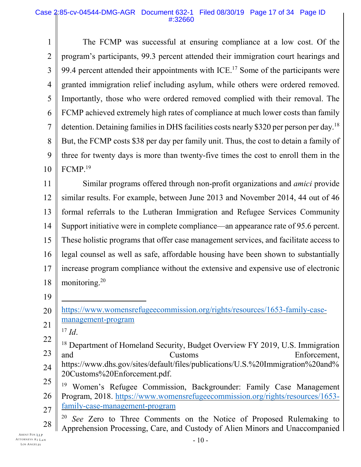1  $\mathcal{L}$ 3 4 5 6 7 8 9 10 The FCMP was successful at ensuring compliance at a low cost. Of the program's participants, 99.3 percent attended their immigration court hearings and 99.4 percent attended their appointments with ICE.<sup>17</sup> Some of the participants were granted immigration relief including asylum, while others were ordered removed. Importantly, those who were ordered removed complied with their removal. The FCMP achieved extremely high rates of compliance at much lower costs than family detention. Detaining families in DHS facilities costs nearly \$320 per person per day.<sup>18</sup> But, the FCMP costs \$38 per day per family unit. Thus, the cost to detain a family of three for twenty days is more than twenty-five times the cost to enroll them in the FCMP.<sup>19</sup>

11 12 13 14 15 16 17 18 Similar programs offered through non-profit organizations and *amici* provide similar results. For example, between June 2013 and November 2014, 44 out of 46 formal referrals to the Lutheran Immigration and Refugee Services Community Support initiative were in complete compliance—an appearance rate of 95.6 percent. These holistic programs that offer case management services, and facilitate access to legal counsel as well as safe, affordable housing have been shown to substantially increase program compliance without the extensive and expensive use of electronic monitoring.<sup>20</sup>

- 19
- 20 21 https://www.womensrefugeecommission.org/rights/resources/1653-family-casemanagement-program
	- $17 \; Id.$

 $\overline{a}$ 

- 22 23 <sup>18</sup> Department of Homeland Security, Budget Overview FY 2019, U.S. Immigration and Customs Enforcement,
- 24 https://www.dhs.gov/sites/default/files/publications/U.S.%20Immigration%20and% 20Customs%20Enforcement.pdf.
- 25 26 27 <sup>19</sup> Women's Refugee Commission, Backgrounder: Family Case Management Program, 2018. https://www.womensrefugeecommission.org/rights/resources/1653 family-case-management-program
- 28 <sup>20</sup> *See* Zero to Three Comments on the Notice of Proposed Rulemaking to Apprehension Processing, Care, and Custody of Alien Minors and Unaccompanied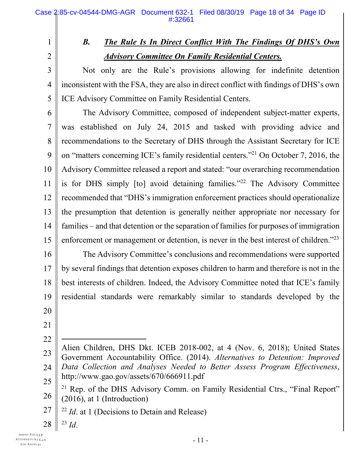2

3

4

5

1

# *B. The Rule Is In Direct Conflict With The Findings Of DHS's Own Advisory Committee On Family Residential Centers.*

Not only are the Rule's provisions allowing for indefinite detention inconsistent with the FSA, they are also in direct conflict with findings of DHS's own ICE Advisory Committee on Family Residential Centers.

6 7 8 9 10 11 12 13 14 15 The Advisory Committee, composed of independent subject-matter experts, was established on July 24, 2015 and tasked with providing advice and recommendations to the Secretary of DHS through the Assistant Secretary for ICE on "matters concerning ICE's family residential centers."<sup>21</sup> On October 7, 2016, the Advisory Committee released a report and stated: "our overarching recommendation is for DHS simply [to] avoid detaining families."<sup>22</sup> The Advisory Committee recommended that "DHS's immigration enforcement practices should operationalize the presumption that detention is generally neither appropriate nor necessary for families – and that detention or the separation of families for purposes of immigration enforcement or management or detention, is never in the best interest of children."<sup>23</sup>

16 17 18 19 20 The Advisory Committee's conclusions and recommendations were supported by several findings that detention exposes children to harm and therefore is not in the best interests of children. Indeed, the Advisory Committee noted that ICE's family residential standards were remarkably similar to standards developed by the

- 21
- 22
- 23 24 25  $\overline{a}$ Alien Children, DHS Dkt. ICEB 2018-002, at 4 (Nov. 6, 2018); United States Government Accountability Office. (2014). *Alternatives to Detention: Improved Data Collection and Analyses Needed to Better Assess Program Effectiveness*, http://www.gao.gov/assets/670/666911.pdf
- 26 <sup>21</sup> Rep. of the DHS Advisory Comm. on Family Residential Ctrs., "Final Report" (2016), at 1 (Introduction)
- 27 <sup>22</sup> *Id.* at 1 (Decisions to Detain and Release)
- 28 <sup>23</sup> *Id*.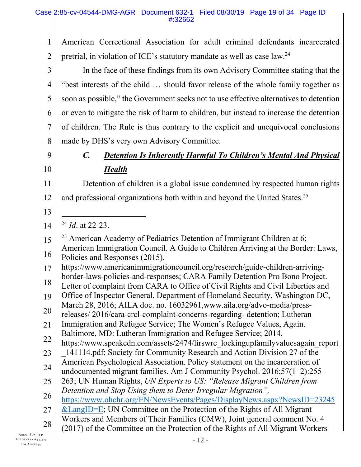1 2 American Correctional Association for adult criminal defendants incarcerated pretrial, in violation of ICE's statutory mandate as well as case law.<sup>24</sup>

3 4 5 6 7 8 In the face of these findings from its own Advisory Committee stating that the "best interests of the child … should favor release of the whole family together as soon as possible," the Government seeks not to use effective alternatives to detention or even to mitigate the risk of harm to children, but instead to increase the detention of children. The Rule is thus contrary to the explicit and unequivocal conclusions made by DHS's very own Advisory Committee.

### 9 10

13

14

# *C. Detention Is Inherently Harmful To Children's Mental And Physical Health*

11 12 Detention of children is a global issue condemned by respected human rights and professional organizations both within and beyond the United States.<sup>25</sup>

l <sup>24</sup> *Id*. at 22-23.

15 16 <sup>25</sup> American Academy of Pediatrics Detention of Immigrant Children at 6; American Immigration Council. A Guide to Children Arriving at the Border: Laws, Policies and Responses (2015),

- 17 https://www.americanimmigrationcouncil.org/research/guide-children-arrivingborder-laws-policies-and-responses; CARA Family Detention Pro Bono Project.
- 18 Letter of complaint from CARA to Office of Civil Rights and Civil Liberties and
- 19 Office of Inspector General, Department of Homeland Security, Washington DC,
- 20 March 28, 2016; AILA doc. no. 16032961,www.aila.org/advo-media/press-
- releases/ 2016/cara-crcl-complaint-concerns-regarding- detention; Lutheran
- 21 Immigration and Refugee Service; The Women's Refugee Values, Again. Baltimore, MD: Lutheran Immigration and Refugee Service; 2014,
- 22 https://www.speakcdn.com/assets/2474/lirswrc\_lockingupfamilyvaluesagain\_report
- 23 24 \_141114.pdf; Society for Community Research and Action Division 27 of the American Psychological Association. Policy statement on the incarceration of
	- undocumented migrant families. Am J Community Psychol. 2016;57(1–2):255–
- 25 263; UN Human Rights, *UN Experts to US: "Release Migrant Children from*
- 26 *Detention and Stop Using them to Deter Irregular Migration",*
	- https://www.ohchr.org/EN/NewsEvents/Pages/DisplayNews.aspx?NewsID=23245
- 27 &LangID=E; UN Committee on the Protection of the Rights of All Migrant
- 28 Workers and Members of Their Families (CMW), Joint general comment No. 4
	- (2017) of the Committee on the Protection of the Rights of All Migrant Workers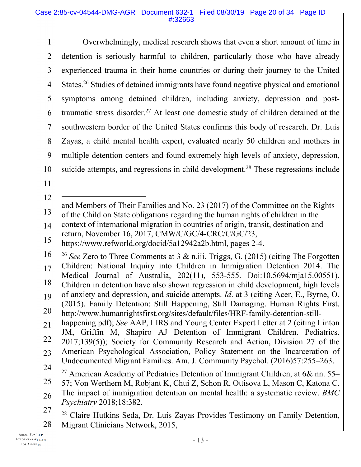1 2 3 4 5 6 7 8 9 10 11 12 13 14 15 16 17 18 19 Overwhelmingly, medical research shows that even a short amount of time in detention is seriously harmful to children, particularly those who have already experienced trauma in their home countries or during their journey to the United States.<sup>26</sup> Studies of detained immigrants have found negative physical and emotional symptoms among detained children, including anxiety, depression and posttraumatic stress disorder.<sup>27</sup> At least one domestic study of children detained at the southwestern border of the United States confirms this body of research. Dr. Luis Zayas, a child mental health expert, evaluated nearly 50 children and mothers in multiple detention centers and found extremely high levels of anxiety, depression, suicide attempts, and regressions in child development.<sup>28</sup> These regressions include l and Members of Their Families and No. 23 (2017) of the Committee on the Rights of the Child on State obligations regarding the human rights of children in the context of international migration in countries of origin, transit, destination and return, November 16, 2017, CMW/C/GC/4-CRC/C/GC/23, https://www.refworld.org/docid/5a12942a2b.html, pages 2-4. <sup>26</sup> *See* Zero to Three Comments at 3 & n.iii, Triggs, G. (2015) (citing The Forgotten Children: National Inquiry into Children in Immigration Detention 2014. The Medical Journal of Australia, 202(11), 553-555. Doi:10.5694/mja15.00551). Children in detention have also shown regression in child development, high levels of anxiety and depression, and suicide attempts. *Id*. at 3 (citing Acer, E., Byrne, O. (2015). Family Detention: Still Happening, Still Damaging. Human Rights First.

- 20 http://www.humanrightsfirst.org/sites/default/files/HRF-family-detention-still-
- 21 22 23 24 happening.pdf); *See* AAP, LIRS and Young Center Expert Letter at 2 (citing Linton JM, Griffin M, Shapiro AJ Detention of Immigrant Children. Pediatrics. 2017;139(5)); Society for Community Research and Action, Division 27 of the American Psychological Association, Policy Statement on the Incarceration of Undocumented Migrant Families. Am. J. Community Psychol. (2016)57:255–263.
- 25 26 <sup>27</sup> American Academy of Pediatrics Detention of Immigrant Children, at  $6&$  nn. 55– 57; Von Werthern M, Robjant K, Chui Z, Schon R, Ottisova L, Mason C, Katona C. The impact of immigration detention on mental health: a systematic review. *BMC Psychiatry* 2018;18:382.
- 27

28 <sup>28</sup> Claire Hutkins Seda, Dr. Luis Zayas Provides Testimony on Family Detention, Migrant Clinicians Network, 2015,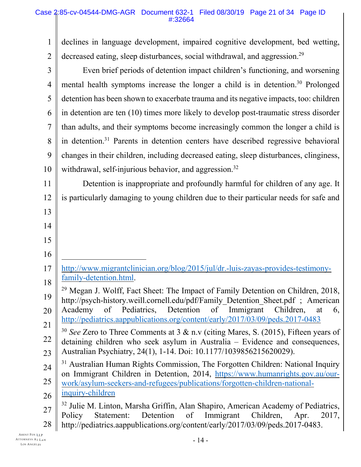1 2 3 4 5 6 7 8 9 10 11 12 13 14 15 16 17 18 19 20 21 22 23 24 25 26 27 28 declines in language development, impaired cognitive development, bed wetting, decreased eating, sleep disturbances, social withdrawal, and aggression.<sup>29</sup> Even brief periods of detention impact children's functioning, and worsening mental health symptoms increase the longer a child is in detention.<sup>30</sup> Prolonged detention has been shown to exacerbate trauma and its negative impacts, too: children in detention are ten (10) times more likely to develop post-traumatic stress disorder than adults, and their symptoms become increasingly common the longer a child is in detention.<sup>31</sup> Parents in detention centers have described regressive behavioral changes in their children, including decreased eating, sleep disturbances, clinginess, withdrawal, self-injurious behavior, and aggression.<sup>32</sup> Detention is inappropriate and profoundly harmful for children of any age. It is particularly damaging to young children due to their particular needs for safe and  $\overline{a}$ http://www.migrantclinician.org/blog/2015/jul/dr.-luis-zayas-provides-testimonyfamily-detention.html. <sup>29</sup> Megan J. Wolff, Fact Sheet: The Impact of Family Detention on Children, 2018, http://psych-history.weill.cornell.edu/pdf/Family\_Detention\_Sheet.pdf ; American Academy of Pediatrics, Detention of Immigrant Children, at 6, http://pediatrics.aappublications.org/content/early/2017/03/09/peds.2017-0483 <sup>30</sup> *See* Zero to Three Comments at 3 & n.v (citing Mares, S. (2015), Fifteen years of detaining children who seek asylum in Australia – Evidence and consequences, Australian Psychiatry, 24(1), 1-14. Doi: 10.1177/1039856215620029). <sup>31</sup> Australian Human Rights Commission, The Forgotten Children: National Inquiry on Immigrant Children in Detention, 2014, https://www.humanrights.gov.au/ourwork/asylum-seekers-and-refugees/publications/forgotten-children-nationalinquiry-children <sup>32</sup> Julie M. Linton, Marsha Griffin, Alan Shapiro, American Academy of Pediatrics, Policy Statement: Detention of Immigrant Children, Apr. 2017, http://pediatrics.aappublications.org/content/early/2017/03/09/peds.2017-0483.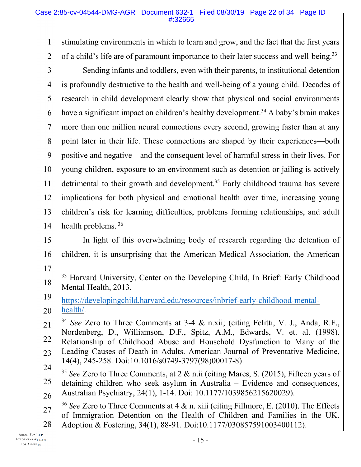1 2 3 4 5 6 7 8 9 10 11 12 13 14 15 16 17 18 19 20 21 22 23 24 25 26 27 stimulating environments in which to learn and grow, and the fact that the first years of a child's life are of paramount importance to their later success and well-being.<sup>33</sup> Sending infants and toddlers, even with their parents, to institutional detention is profoundly destructive to the health and well-being of a young child. Decades of research in child development clearly show that physical and social environments have a significant impact on children's healthy development.<sup>34</sup> A baby's brain makes more than one million neural connections every second, growing faster than at any point later in their life. These connections are shaped by their experiences—both positive and negative—and the consequent level of harmful stress in their lives. For young children, exposure to an environment such as detention or jailing is actively detrimental to their growth and development.<sup>35</sup> Early childhood trauma has severe implications for both physical and emotional health over time, increasing young children's risk for learning difficulties, problems forming relationships, and adult health problems. <sup>36</sup> In light of this overwhelming body of research regarding the detention of children, it is unsurprising that the American Medical Association, the American  $\overline{a}$ <sup>33</sup> Harvard University, Center on the Developing Child, In Brief: Early Childhood Mental Health, 2013, https://developingchild.harvard.edu/resources/inbrief-early-childhood-mentalhealth/. <sup>34</sup> *See* Zero to Three Comments at 3-4 & n.xii; (citing Felitti, V. J., Anda, R.F., Nordenberg, D., Williamson, D.F., Spitz, A.M., Edwards, V. et. al. (1998). Relationship of Childhood Abuse and Household Dysfunction to Many of the Leading Causes of Death in Adults. American Journal of Preventative Medicine, 14(4), 245-258. Doi:10.1016/s0749-3797(98)00017-8). <sup>35</sup> *See* Zero to Three Comments, at 2 & n.ii (citing Mares, S. (2015), Fifteen years of detaining children who seek asylum in Australia – Evidence and consequences, Australian Psychiatry, 24(1), 1-14. Doi: 10.1177/1039856215620029). <sup>36</sup> *See* Zero to Three Comments at 4 & n. xiii (citing Fillmore, E. (2010). The Effects of Immigration Detention on the Health of Children and Families in the UK.

28 Adoption & Fostering, 34(1), 88-91. Doi:10.1177/030857591003400112).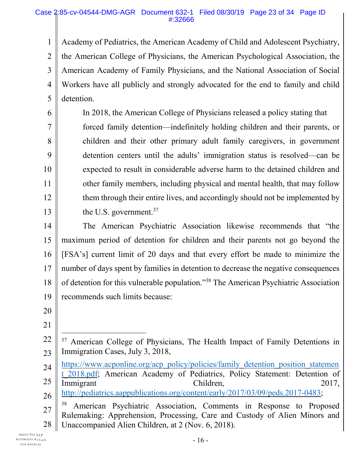1  $\mathcal{L}$ 3 4 5 Academy of Pediatrics, the American Academy of Child and Adolescent Psychiatry, the American College of Physicians, the American Psychological Association, the American Academy of Family Physicians, and the National Association of Social Workers have all publicly and strongly advocated for the end to family and child detention.

In 2018, the American College of Physicians released a policy stating that forced family detention—indefinitely holding children and their parents, or children and their other primary adult family caregivers, in government detention centers until the adults' immigration status is resolved—can be expected to result in considerable adverse harm to the detained children and other family members, including physical and mental health, that may follow them through their entire lives, and accordingly should not be implemented by the U.S. government.<sup>37</sup>

14 15 16 17 18 19 The American Psychiatric Association likewise recommends that "the maximum period of detention for children and their parents not go beyond the [FSA's] current limit of 20 days and that every effort be made to minimize the number of days spent by families in detention to decrease the negative consequences of detention for this vulnerable population."<sup>38</sup> The American Psychiatric Association recommends such limits because:

20

6

7

8

9

10

11

12

13

21

- 24 25 26 https://www.acponline.org/acp\_policy/policies/family\_detention\_position\_statemen t 2018.pdf; American Academy of Pediatrics, Policy Statement: Detention of Immigrant Children, 2017, http://pediatrics.aappublications.org/content/early/2017/03/09/peds.2017-0483;
- 27 28 <sup>38</sup> American Psychiatric Association, Comments in Response to Proposed Rulemaking: Apprehension, Processing, Care and Custody of Alien Minors and Unaccompanied Alien Children, at 2 (Nov. 6, 2018).

<sup>22</sup> 23 l <sup>37</sup> American College of Physicians, The Health Impact of Family Detentions in Immigration Cases, July 3, 2018,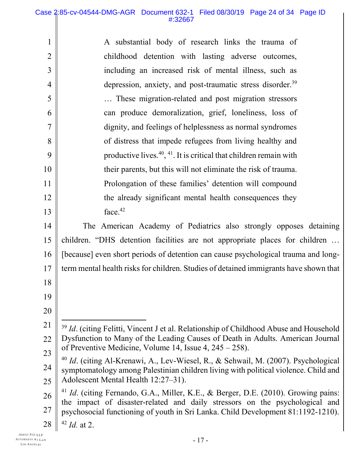| $\mathbf{1}$   | A substantial body of research links the trauma of                                                                                                                                   |  |  |  |  |  |  |
|----------------|--------------------------------------------------------------------------------------------------------------------------------------------------------------------------------------|--|--|--|--|--|--|
| $\overline{2}$ | childhood detention with lasting adverse outcomes,                                                                                                                                   |  |  |  |  |  |  |
| 3              | including an increased risk of mental illness, such as                                                                                                                               |  |  |  |  |  |  |
| 4              | depression, anxiety, and post-traumatic stress disorder. <sup>39</sup>                                                                                                               |  |  |  |  |  |  |
| 5              | These migration-related and post migration stressors                                                                                                                                 |  |  |  |  |  |  |
| 6              | can produce demoralization, grief, loneliness, loss of                                                                                                                               |  |  |  |  |  |  |
| $\overline{7}$ | dignity, and feelings of helplessness as normal syndromes                                                                                                                            |  |  |  |  |  |  |
| 8              | of distress that impede refugees from living healthy and                                                                                                                             |  |  |  |  |  |  |
| 9              | productive lives. <sup>40</sup> , <sup>41</sup> . It is critical that children remain with                                                                                           |  |  |  |  |  |  |
| 10             | their parents, but this will not eliminate the risk of trauma.                                                                                                                       |  |  |  |  |  |  |
| 11             | Prolongation of these families' detention will compound                                                                                                                              |  |  |  |  |  |  |
| 12             | the already significant mental health consequences they                                                                                                                              |  |  |  |  |  |  |
| 13             | face. <sup>42</sup>                                                                                                                                                                  |  |  |  |  |  |  |
| 14             | The American Academy of Pediatrics also strongly opposes detaining                                                                                                                   |  |  |  |  |  |  |
| 15             | children. "DHS detention facilities are not appropriate places for children                                                                                                          |  |  |  |  |  |  |
| 16             | [because] even short periods of detention can cause psychological trauma and long-                                                                                                   |  |  |  |  |  |  |
| 17             | term mental health risks for children. Studies of detained immigrants have shown that                                                                                                |  |  |  |  |  |  |
| 18             |                                                                                                                                                                                      |  |  |  |  |  |  |
| 19             |                                                                                                                                                                                      |  |  |  |  |  |  |
| 20             |                                                                                                                                                                                      |  |  |  |  |  |  |
| 21             | <sup>39</sup> Id. (citing Felitti, Vincent J et al. Relationship of Childhood Abuse and Household                                                                                    |  |  |  |  |  |  |
| 22             | Dysfunction to Many of the Leading Causes of Death in Adults. American Journal                                                                                                       |  |  |  |  |  |  |
| 23             | of Preventive Medicine, Volume 14, Issue $4, 245 - 258$ ).                                                                                                                           |  |  |  |  |  |  |
| 24             | <sup>40</sup> Id. (citing Al-Krenawi, A., Lev-Wiesel, R., & Sehwail, M. (2007). Psychological<br>symptomatology among Palestinian children living with political violence. Child and |  |  |  |  |  |  |
| 25             | Adolescent Mental Health 12:27-31).                                                                                                                                                  |  |  |  |  |  |  |
| 26             | <sup>41</sup> Id. (citing Fernando, G.A., Miller, K.E., & Berger, D.E. (2010). Growing pains:                                                                                        |  |  |  |  |  |  |
| 27             | the impact of disaster-related and daily stressors on the psychological and<br>psychosocial functioning of youth in Sri Lanka. Child Development 81:1192-1210).                      |  |  |  |  |  |  |
| 28             | $42$ <i>Id.</i> at 2.                                                                                                                                                                |  |  |  |  |  |  |
|                |                                                                                                                                                                                      |  |  |  |  |  |  |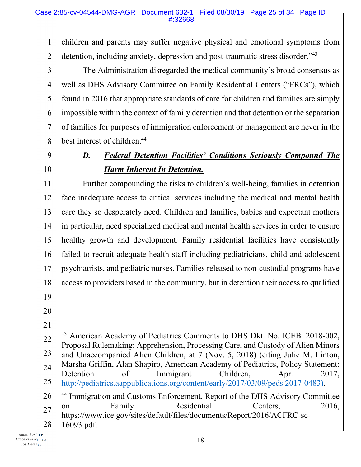1  $\mathcal{L}$ children and parents may suffer negative physical and emotional symptoms from detention, including anxiety, depression and post-traumatic stress disorder.<sup>743</sup>

3 4 5 6 7 8 The Administration disregarded the medical community's broad consensus as well as DHS Advisory Committee on Family Residential Centers ("FRCs"), which found in 2016 that appropriate standards of care for children and families are simply impossible within the context of family detention and that detention or the separation of families for purposes of immigration enforcement or management are never in the best interest of children.<sup>44</sup>

9 10

# *D. Federal Detention Facilities' Conditions Seriously Compound The Harm Inherent In Detention.*

11 12 13 14 15 16 17 18 19 Further compounding the risks to children's well-being, families in detention face inadequate access to critical services including the medical and mental health care they so desperately need. Children and families, babies and expectant mothers in particular, need specialized medical and mental health services in order to ensure healthy growth and development. Family residential facilities have consistently failed to recruit adequate health staff including pediatricians, child and adolescent psychiatrists, and pediatric nurses. Families released to non-custodial programs have access to providers based in the community, but in detention their access to qualified

- 20
- 21

<sup>22</sup> 23 24 25 26 27 28 l <sup>43</sup> American Academy of Pediatrics Comments to DHS Dkt. No. ICEB. 2018-002, Proposal Rulemaking: Apprehension, Processing Care, and Custody of Alien Minors and Unaccompanied Alien Children, at 7 (Nov. 5, 2018) (citing Julie M. Linton, Marsha Griffin, Alan Shapiro, American Academy of Pediatrics, Policy Statement: Detention of Immigrant Children, Apr. 2017, http://pediatrics.aappublications.org/content/early/2017/03/09/peds.2017-0483). <sup>44</sup> Immigration and Customs Enforcement, Report of the DHS Advisory Committee on Family Residential Centers, 2016, https://www.ice.gov/sites/default/files/documents/Report/2016/ACFRC-sc-16093.pdf.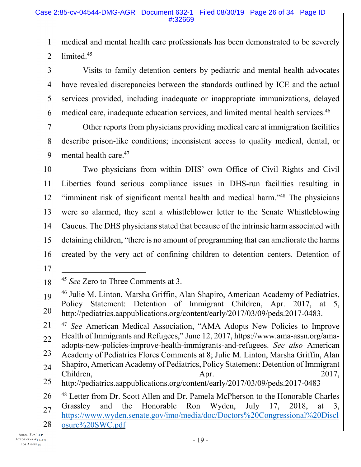1  $\mathcal{L}$ medical and mental health care professionals has been demonstrated to be severely limited.<sup>45</sup>

3 4 5 6 Visits to family detention centers by pediatric and mental health advocates have revealed discrepancies between the standards outlined by ICE and the actual services provided, including inadequate or inappropriate immunizations, delayed medical care, inadequate education services, and limited mental health services.<sup>46</sup>

7 8 9 Other reports from physicians providing medical care at immigration facilities describe prison-like conditions; inconsistent access to quality medical, dental, or mental health care.<sup>47</sup>

10 11 12 13 14 15 16 Two physicians from within DHS' own Office of Civil Rights and Civil Liberties found serious compliance issues in DHS-run facilities resulting in "imminent risk of significant mental health and medical harm."<sup>48</sup> The physicians were so alarmed, they sent a whistleblower letter to the Senate Whistleblowing Caucus. The DHS physicians stated that because of the intrinsic harm associated with detaining children, "there is no amount of programming that can ameliorate the harms created by the very act of confining children to detention centers. Detention of

17

 $\overline{a}$ 

<sup>18</sup> <sup>45</sup> *See* Zero to Three Comments at 3.

<sup>19</sup> 20 <sup>46</sup> Julie M. Linton, Marsha Griffin, Alan Shapiro, American Academy of Pediatrics, Policy Statement: Detention of Immigrant Children, Apr. 2017, at 5, http://pediatrics.aappublications.org/content/early/2017/03/09/peds.2017-0483.

<sup>21</sup> 22 23 24 <sup>47</sup> *See* American Medical Association, "AMA Adopts New Policies to Improve Health of Immigrants and Refugees," June 12, 2017, https://www.ama-assn.org/amaadopts-new-policies-improve-health-immigrants-and-refugees. *See also* American Academy of Pediatrics Flores Comments at 8; Julie M. Linton, Marsha Griffin, Alan Shapiro, American Academy of Pediatrics, Policy Statement: Detention of Immigrant

<sup>25</sup> Children, 2017,

http://pediatrics.aappublications.org/content/early/2017/03/09/peds.2017-0483

<sup>26</sup> 27 28 <sup>48</sup> Letter from Dr. Scott Allen and Dr. Pamela McPherson to the Honorable Charles Grassley and the Honorable Ron Wyden, July 17, 2018, at 3, https://www.wyden.senate.gov/imo/media/doc/Doctors%20Congressional%20Discl osure%20SWC.pdf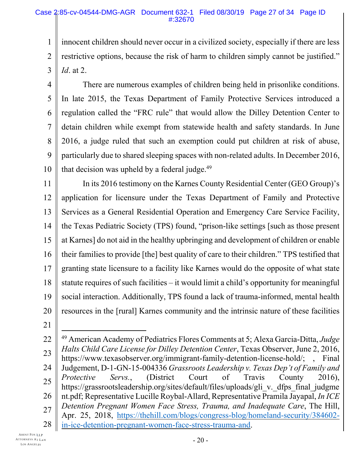1 2 3 innocent children should never occur in a civilized society, especially if there are less restrictive options, because the risk of harm to children simply cannot be justified." *Id*. at 2.

4 5 6 7 8 9 10 There are numerous examples of children being held in prisonlike conditions. In late 2015, the Texas Department of Family Protective Services introduced a regulation called the "FRC rule" that would allow the Dilley Detention Center to detain children while exempt from statewide health and safety standards. In June 2016, a judge ruled that such an exemption could put children at risk of abuse, particularly due to shared sleeping spaces with non-related adults. In December 2016, that decision was upheld by a federal judge.<sup>49</sup>

11 12 13 14 15 16 17 18 19 20 In its 2016 testimony on the Karnes County Residential Center (GEO Group)'s application for licensure under the Texas Department of Family and Protective Services as a General Residential Operation and Emergency Care Service Facility, the Texas Pediatric Society (TPS) found, "prison-like settings [such as those present at Karnes] do not aid in the healthy upbringing and development of children or enable their families to provide [the] best quality of care to their children." TPS testified that granting state licensure to a facility like Karnes would do the opposite of what state statute requires of such facilities – it would limit a child's opportunity for meaningful social interaction. Additionally, TPS found a lack of trauma-informed, mental health resources in the [rural] Karnes community and the intrinsic nature of these facilities

21

<sup>22</sup> 23 24 25 26 27 28 l <sup>49</sup> American Academy of Pediatrics Flores Comments at 5; Alexa Garcia-Ditta, *Judge Halts Child Care License for Dilley Detention Center*, Texas Observer, June 2, 2016, https://www.texasobserver.org/immigrant-family-detention-license-hold/; , Final Judgement, D-1-GN-15-004336 *Grassroots Leadership v. Texas Dep't of Family and Protective Servs.*, (District Court of Travis County 2016), https://grassrootsleadership.org/sites/default/files/uploads/gli\_v.\_dfps\_final\_judgme nt.pdf; Representative Lucille Roybal-Allard, Representative Pramila Jayapal, *In ICE Detention Pregnant Women Face Stress, Trauma, and Inadequate Care*, The Hill, Apr. 25, 2018, https://thehill.com/blogs/congress-blog/homeland-security/384602 in-ice-detention-pregnant-women-face-stress-trauma-and.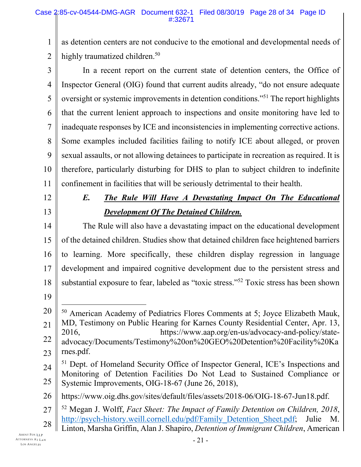1 2 as detention centers are not conducive to the emotional and developmental needs of highly traumatized children.<sup>50</sup>

3 4 5 6 7 8 9 10 11 In a recent report on the current state of detention centers, the Office of Inspector General (OIG) found that current audits already, "do not ensure adequate oversight or systemic improvements in detention conditions."<sup>51</sup> The report highlights that the current lenient approach to inspections and onsite monitoring have led to inadequate responses by ICE and inconsistencies in implementing corrective actions. Some examples included facilities failing to notify ICE about alleged, or proven sexual assaults, or not allowing detainees to participate in recreation as required. It is therefore, particularly disturbing for DHS to plan to subject children to indefinite confinement in facilities that will be seriously detrimental to their health.

12

13

# *E. The Rule Will Have A Devastating Impact On The Educational Development Of The Detained Children.*

14 15 16 17 18 The Rule will also have a devastating impact on the educational development of the detained children. Studies show that detained children face heightened barriers to learning. More specifically, these children display regression in language development and impaired cognitive development due to the persistent stress and substantial exposure to fear, labeled as "toxic stress."<sup>52</sup> Toxic stress has been shown

19

 $\overline{a}$ 

20 21 22 23 <sup>50</sup> American Academy of Pediatrics Flores Comments at 5; Joyce Elizabeth Mauk, MD, Testimony on Public Hearing for Karnes County Residential Center, Apr. 13, 2016, https://www.aap.org/en-us/advocacy-and-policy/stateadvocacy/Documents/Testimony%20on%20GEO%20Detention%20Facility%20Ka rnes.pdf.

24 25 <sup>51</sup> Dept. of Homeland Security Office of Inspector General, ICE's Inspections and Monitoring of Detention Facilities Do Not Lead to Sustained Compliance or Systemic Improvements, OIG-18-67 (June 26, 2018),

26 https://www.oig.dhs.gov/sites/default/files/assets/2018-06/OIG-18-67-Jun18.pdf.

27 28 <sup>52</sup> Megan J. Wolff, *Fact Sheet: The Impact of Family Detention on Children, 2018*, http://psych-history.weill.cornell.edu/pdf/Family\_Detention\_Sheet.pdf; Julie M. Linton, Marsha Griffin, Alan J. Shapiro, *Detention of Immigrant Children*, American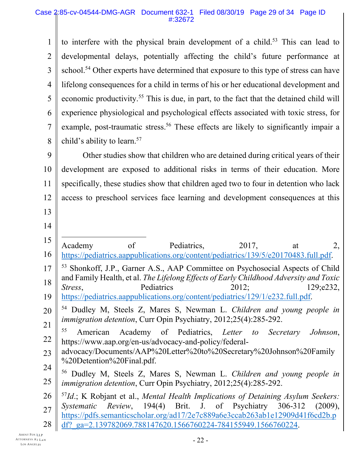1  $\mathcal{L}$ 3 4 5 6 7 8 9 10 11 12 13 14 15 16 17 18 19 20 21 22 23 24 25 26 27 28 to interfere with the physical brain development of a child.<sup>53</sup> This can lead to developmental delays, potentially affecting the child's future performance at school.<sup>54</sup> Other experts have determined that exposure to this type of stress can have lifelong consequences for a child in terms of his or her educational development and economic productivity.<sup>55</sup> This is due, in part, to the fact that the detained child will experience physiological and psychological effects associated with toxic stress, for example, post-traumatic stress.<sup>56</sup> These effects are likely to significantly impair a child's ability to learn.<sup>57</sup> Other studies show that children who are detained during critical years of their development are exposed to additional risks in terms of their education. More specifically, these studies show that children aged two to four in detention who lack access to preschool services face learning and development consequences at this  $\overline{a}$ Academy of Pediatrics, 2017, at 2, https://pediatrics.aappublications.org/content/pediatrics/139/5/e20170483.full.pdf. <sup>53</sup> Shonkoff, J.P., Garner A.S., AAP Committee on Psychosocial Aspects of Child and Family Health, et al. *The Lifelong Effects of Early Childhood Adversity and Toxic Stress*, Pediatrics 2012; 129;e232, https://pediatrics.aappublications.org/content/pediatrics/129/1/e232.full.pdf. <sup>54</sup> Dudley M, Steels Z, Mares S, Newman L. *Children and young people in immigration detention*, Curr Opin Psychiatry, 2012;25(4):285-292. <sup>55</sup> American Academy of Pediatrics, *Letter to Secretary Johnson*, https://www.aap.org/en-us/advocacy-and-policy/federaladvocacy/Documents/AAP%20Letter%20to%20Secretary%20Johnson%20Family %20Detention%20Final.pdf. <sup>56</sup> Dudley M, Steels Z, Mares S, Newman L. *Children and young people in immigration detention*, Curr Opin Psychiatry, 2012;25(4):285-292. <sup>57</sup>*Id*.; K Robjant et al., *Mental Health Implications of Detaining Asylum Seekers: Systematic Review*, 194(4) Brit. J. of Psychiatry 306-312 (2009), https://pdfs.semanticscholar.org/ad17/2e7c889a6e3ccab263ab1e12909d41f6cd2b.p df?\_ga=2.139782069.788147620.1566760224-784155949.1566760224.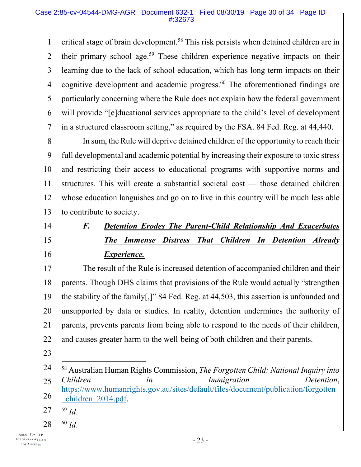1 2 3 4 5 6 7 critical stage of brain development.<sup>58</sup> This risk persists when detained children are in their primary school age.<sup>59</sup> These children experience negative impacts on their learning due to the lack of school education, which has long term impacts on their cognitive development and academic progress.<sup>60</sup> The aforementioned findings are particularly concerning where the Rule does not explain how the federal government will provide "[e]ducational services appropriate to the child's level of development in a structured classroom setting," as required by the FSA. 84 Fed. Reg. at 44,440.

8 9 10 11 12 13 In sum, the Rule will deprive detained children of the opportunity to reach their full developmental and academic potential by increasing their exposure to toxic stress and restricting their access to educational programs with supportive norms and structures. This will create a substantial societal cost — those detained children whose education languishes and go on to live in this country will be much less able to contribute to society.

- 14
- 15
- 16

# *F. Detention Erodes The Parent-Child Relationship And Exacerbates The Immense Distress That Children In Detention Already Experience.*

17 18 19 20 21 22 The result of the Rule is increased detention of accompanied children and their parents. Though DHS claims that provisions of the Rule would actually "strengthen the stability of the family[,]" 84 Fed. Reg. at 44,503, this assertion is unfounded and unsupported by data or studies. In reality, detention undermines the authority of parents, prevents parents from being able to respond to the needs of their children, and causes greater harm to the well-being of both children and their parents.

- 23
- 24 25 26 <sup>58</sup> Australian Human Rights Commission, *The Forgotten Child: National Inquiry into Children in Immigration Detention*, https://www.humanrights.gov.au/sites/default/files/document/publication/forgotten children 2014.pdf.
- 27 <sup>59</sup> *Id*.

l

28 <sup>60</sup> *Id*.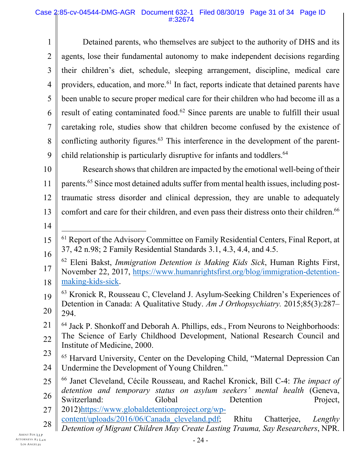#### Case 2:85-cv-04544-DMG-AGR Document 632-1 Filed 08/30/19 Page 31 of 34 Page ID #:32674

1 2 3 4 5 6 7 8 9 Detained parents, who themselves are subject to the authority of DHS and its agents, lose their fundamental autonomy to make independent decisions regarding their children's diet, schedule, sleeping arrangement, discipline, medical care providers, education, and more.<sup>61</sup> In fact, reports indicate that detained parents have been unable to secure proper medical care for their children who had become ill as a result of eating contaminated food.<sup>62</sup> Since parents are unable to fulfill their usual caretaking role, studies show that children become confused by the existence of conflicting authority figures.<sup>63</sup> This interference in the development of the parentchild relationship is particularly disruptive for infants and toddlers.<sup>64</sup>

10 11 12 13 Research shows that children are impacted by the emotional well-being of their parents.<sup>65</sup> Since most detained adults suffer from mental health issues, including posttraumatic stress disorder and clinical depression, they are unable to adequately comfort and care for their children, and even pass their distress onto their children.<sup>66</sup>

14

l

- 27 2012)https://www.globaldetentionproject.org/wp-
- 28 content/uploads/2016/06/Canada\_cleveland.pdf; Rhitu Chatterjee, *Lengthy*
	- *Detention of Migrant Children May Create Lasting Trauma, Say Researchers*, NPR.

<sup>15</sup> 16 <sup>61</sup> Report of the Advisory Committee on Family Residential Centers, Final Report, at 37, 42 n.98; 2 Family Residential Standards 3.1, 4.3, 4.4, and 4.5.

<sup>17</sup> 18 <sup>62</sup> Eleni Bakst, *Immigration Detention is Making Kids Sick*, Human Rights First, November 22, 2017, https://www.humanrightsfirst.org/blog/immigration-detentionmaking-kids-sick.

<sup>19</sup> 20  $63$  Kronick R, Rousseau C, Cleveland J. Asylum-Seeking Children's Experiences of Detention in Canada: A Qualitative Study. *Am J Orthopsychiatry.* 2015;85(3):287– 294.

<sup>21</sup> 22 <sup>64</sup> Jack P. Shonkoff and Deborah A. Phillips, eds., From Neurons to Neighborhoods: The Science of Early Childhood Development, National Research Council and Institute of Medicine, 2000.

<sup>23</sup> 24 <sup>65</sup> Harvard University, Center on the Developing Child, "Maternal Depression Can Undermine the Development of Young Children."

<sup>25</sup> 26 <sup>66</sup> Janet Cleveland, Cécile Rousseau, and Rachel Kronick, Bill C-4: *The impact of detention and temporary status on asylum seekers' mental health* (Geneva, Switzerland: Global Detention Project,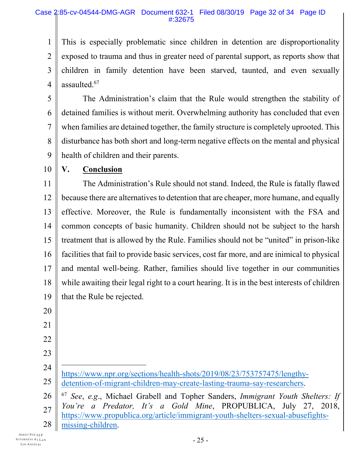#### Case 2:85-cv-04544-DMG-AGR Document 632-1 Filed 08/30/19 Page 32 of 34 Page ID #:32675

1 2 3 4 This is especially problematic since children in detention are disproportionality exposed to trauma and thus in greater need of parental support, as reports show that children in family detention have been starved, taunted, and even sexually assaulted.<sup>67</sup>

5 6 7 8 9 The Administration's claim that the Rule would strengthen the stability of detained families is without merit. Overwhelming authority has concluded that even when families are detained together, the family structure is completely uprooted. This disturbance has both short and long-term negative effects on the mental and physical health of children and their parents.

10

### **V. Conclusion**

11 12 13 14 15 16 17 18 19 The Administration's Rule should not stand. Indeed, the Rule is fatally flawed because there are alternatives to detention that are cheaper, more humane, and equally effective. Moreover, the Rule is fundamentally inconsistent with the FSA and common concepts of basic humanity. Children should not be subject to the harsh treatment that is allowed by the Rule. Families should not be "united" in prison-like facilities that fail to provide basic services, cost far more, and are inimical to physical and mental well-being. Rather, families should live together in our communities while awaiting their legal right to a court hearing. It is in the best interests of children that the Rule be rejected.

20 21 22

23

l

24 25 https://www.npr.org/sections/health-shots/2019/08/23/753757475/lengthydetention-of-migrant-children-may-create-lasting-trauma-say-researchers.

26 27 28 <sup>67</sup> *See*, *e.g*., Michael Grabell and Topher Sanders, *Immigrant Youth Shelters: If You're a Predator, It's a Gold Mine*, PROPUBLICA, July 27, 2018, https://www.propublica.org/article/immigrant-youth-shelters-sexual-abusefightsmissing-children.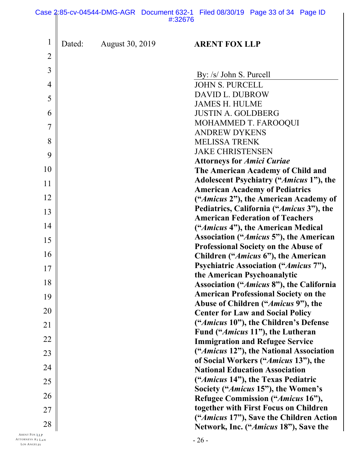#### Case 2:85-cv-04544-DMG-AGR Document 632-1 Filed 08/30/19 Page 33 of 34 Page ID #:32676II

| $\mathbf 1$    | Dated: | <b>August 30, 2019</b> | <b>ARENT FOX LLP</b>                                                             |
|----------------|--------|------------------------|----------------------------------------------------------------------------------|
| $\overline{2}$ |        |                        |                                                                                  |
| 3              |        |                        | By: /s/ John S. Purcell                                                          |
| 4              |        |                        | <b>JOHN S. PURCELL</b>                                                           |
| 5              |        |                        | <b>DAVID L. DUBROW</b>                                                           |
|                |        |                        | <b>JAMES H. HULME</b>                                                            |
| 6              |        |                        | <b>JUSTIN A. GOLDBERG</b>                                                        |
| $\overline{7}$ |        |                        | MOHAMMED T. FAROOQUI                                                             |
| 8              |        |                        | <b>ANDREW DYKENS</b>                                                             |
|                |        |                        | <b>MELISSA TRENK</b><br><b>JAKE CHRISTENSEN</b>                                  |
| 9              |        |                        | <b>Attorneys for Amici Curiae</b>                                                |
| 10             |        |                        | The American Academy of Child and                                                |
| 11             |        |                        | Adolescent Psychiatry ("Amicus 1"), the                                          |
|                |        |                        | <b>American Academy of Pediatrics</b>                                            |
| 12             |        |                        | ("Amicus 2"), the American Academy of                                            |
| 13             |        |                        | Pediatrics, California ("Amicus 3"), the                                         |
| 14             |        |                        | <b>American Federation of Teachers</b>                                           |
|                |        |                        | ("Amicus 4"), the American Medical<br>Association ("Amicus 5"), the American     |
| 15             |        |                        | <b>Professional Society on the Abuse of</b>                                      |
| 16             |        |                        | Children ("Amicus 6"), the American                                              |
| 17             |        |                        | <b>Psychiatric Association ("Amicus 7"),</b>                                     |
|                |        |                        | the American Psychoanalytic                                                      |
| 18             |        |                        | <b>Association ("Amicus 8"), the California</b>                                  |
| 19             |        |                        | <b>American Professional Society on the</b>                                      |
| 20             |        |                        | Abuse of Children ("Amicus 9"), the                                              |
|                |        |                        | <b>Center for Law and Social Policy</b><br>("Amicus 10"), the Children's Defense |
| 21             |        |                        | Fund (" <i>Amicus</i> 11"), the Lutheran                                         |
| 22             |        |                        | <b>Immigration and Refugee Service</b>                                           |
| 23             |        |                        | ("Amicus 12"), the National Association                                          |
|                |        |                        | of Social Workers ("Amicus 13"), the                                             |
| 24             |        |                        | <b>National Education Association</b>                                            |
| 25             |        |                        | ("Amicus 14"), the Texas Pediatric                                               |
| 26             |        |                        | Society (" <i>Amicus</i> 15"), the Women's<br>Refugee Commission ("Amicus 16"),  |
|                |        |                        | together with First Focus on Children                                            |
| 27             |        |                        | ("Amicus 17"), Save the Children Action                                          |
| 28             |        |                        | Network, Inc. ("Amicus 18"), Save the                                            |
| LLP<br>$F$ LAW |        |                        | 26                                                                               |